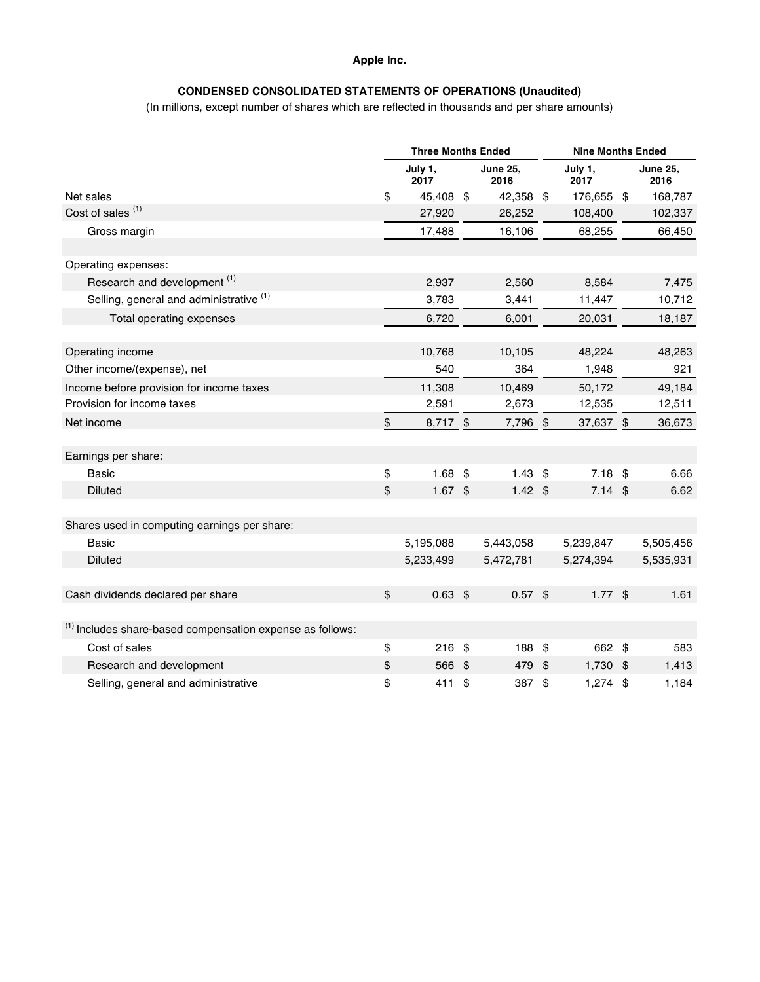### **Apple Inc.**

# **CONDENSED CONSOLIDATED STATEMENTS OF OPERATIONS (Unaudited)**

(In millions, except number of shares which are reflected in thousands and per share amounts)

|                                                                      | <b>Three Months Ended</b> |    |                         | <b>Nine Months Ended</b> |                 |  |                         |
|----------------------------------------------------------------------|---------------------------|----|-------------------------|--------------------------|-----------------|--|-------------------------|
|                                                                      | July 1,<br>2017           |    | <b>June 25,</b><br>2016 |                          | July 1,<br>2017 |  | <b>June 25.</b><br>2016 |
| Net sales                                                            | \$<br>45,408 \$           |    | 42,358 \$               |                          | 176,655 \$      |  | 168,787                 |
| Cost of sales <sup>(1)</sup>                                         | 27,920                    |    | 26,252                  |                          | 108,400         |  | 102,337                 |
| Gross margin                                                         | 17,488                    |    | 16,106                  |                          | 68,255          |  | 66,450                  |
| Operating expenses:                                                  |                           |    |                         |                          |                 |  |                         |
| Research and development <sup>(1)</sup>                              | 2,937                     |    | 2,560                   |                          | 8,584           |  | 7,475                   |
| Selling, general and administrative (1)                              | 3,783                     |    | 3,441                   |                          | 11,447          |  | 10,712                  |
| Total operating expenses                                             | 6,720                     |    | 6,001                   |                          | 20,031          |  | 18,187                  |
|                                                                      |                           |    |                         |                          |                 |  |                         |
| Operating income                                                     | 10,768                    |    | 10,105                  |                          | 48,224          |  | 48,263                  |
| Other income/(expense), net                                          | 540                       |    | 364                     |                          | 1,948           |  | 921                     |
| Income before provision for income taxes                             | 11,308                    |    | 10,469                  |                          | 50,172          |  | 49,184                  |
| Provision for income taxes                                           | 2,591                     |    | 2,673                   |                          | 12,535          |  | 12,511                  |
| Net income                                                           | \$<br>8,717 \$            |    | 7,796 \$                |                          | 37,637 \$       |  | 36,673                  |
| Earnings per share:                                                  |                           |    |                         |                          |                 |  |                         |
| <b>Basic</b>                                                         | \$<br>$1.68$ \$           |    | $1.43$ \$               |                          | $7.18$ \$       |  | 6.66                    |
| <b>Diluted</b>                                                       | \$<br>$1.67$ \$           |    | $1.42$ \$               |                          | $7.14$ \$       |  | 6.62                    |
|                                                                      |                           |    |                         |                          |                 |  |                         |
| Shares used in computing earnings per share:                         |                           |    |                         |                          |                 |  |                         |
| <b>Basic</b>                                                         | 5,195,088                 |    | 5,443,058               |                          | 5,239,847       |  | 5,505,456               |
| <b>Diluted</b>                                                       | 5,233,499                 |    | 5,472,781               |                          | 5,274,394       |  | 5,535,931               |
|                                                                      |                           |    |                         |                          |                 |  |                         |
| Cash dividends declared per share                                    | \$<br>$0.63$ \$           |    | $0.57$ \$               |                          | $1.77$ \$       |  | 1.61                    |
| <sup>(1)</sup> Includes share-based compensation expense as follows: |                           |    |                         |                          |                 |  |                         |
| Cost of sales                                                        | \$<br>$216$ \$            |    | 188 \$                  |                          | 662 \$          |  | 583                     |
| Research and development                                             | \$<br>566 \$              |    | 479                     | \$                       | 1,730 \$        |  | 1,413                   |
| Selling, general and administrative                                  | \$<br>411                 | \$ | 387                     | \$                       | $1,274$ \$      |  | 1,184                   |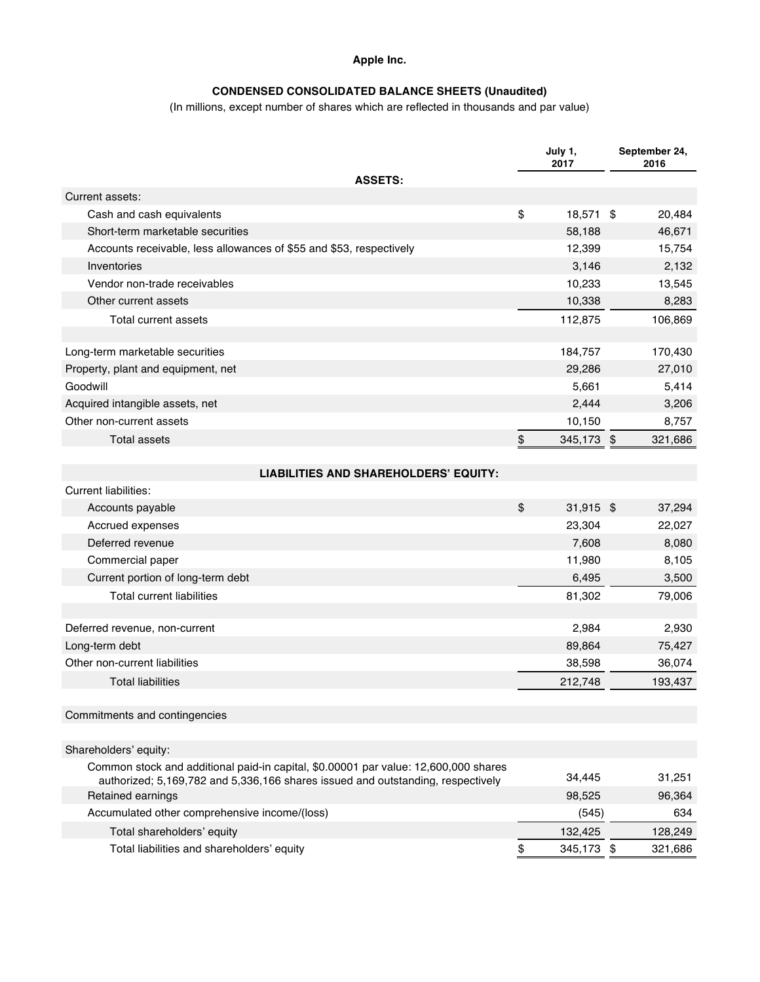### **Apple Inc.**

# **CONDENSED CONSOLIDATED BALANCE SHEETS (Unaudited)**

(In millions, except number of shares which are reflected in thousands and par value)

|                                                                                                                                                                        | July 1,<br>2017  | September 24,<br>2016 |                 |
|------------------------------------------------------------------------------------------------------------------------------------------------------------------------|------------------|-----------------------|-----------------|
| <b>ASSETS:</b>                                                                                                                                                         |                  |                       |                 |
| Current assets:                                                                                                                                                        |                  |                       |                 |
| Cash and cash equivalents                                                                                                                                              | \$<br>18,571 \$  |                       | 20,484          |
| Short-term marketable securities                                                                                                                                       | 58,188           |                       | 46,671          |
| Accounts receivable, less allowances of \$55 and \$53, respectively                                                                                                    | 12,399           |                       | 15,754          |
| Inventories                                                                                                                                                            | 3,146            |                       | 2,132           |
| Vendor non-trade receivables                                                                                                                                           | 10,233           |                       | 13,545          |
| Other current assets                                                                                                                                                   | 10,338           |                       | 8,283           |
| Total current assets                                                                                                                                                   | 112,875          |                       | 106,869         |
| Long-term marketable securities                                                                                                                                        | 184,757          |                       | 170,430         |
|                                                                                                                                                                        | 29,286           |                       | 27,010          |
| Property, plant and equipment, net<br>Goodwill                                                                                                                         | 5,661            |                       | 5,414           |
| Acquired intangible assets, net                                                                                                                                        | 2,444            |                       | 3,206           |
| Other non-current assets                                                                                                                                               | 10,150           |                       | 8,757           |
| <b>Total assets</b>                                                                                                                                                    | \$<br>345,173 \$ |                       | 321,686         |
|                                                                                                                                                                        |                  |                       |                 |
| <b>LIABILITIES AND SHAREHOLDERS' EQUITY:</b>                                                                                                                           |                  |                       |                 |
| <b>Current liabilities:</b>                                                                                                                                            |                  |                       |                 |
| Accounts payable                                                                                                                                                       | \$<br>31,915 \$  |                       | 37,294          |
| Accrued expenses                                                                                                                                                       | 23,304           |                       | 22,027          |
| Deferred revenue                                                                                                                                                       | 7,608            |                       | 8,080           |
| Commercial paper                                                                                                                                                       | 11,980           |                       | 8,105           |
| Current portion of long-term debt                                                                                                                                      | 6,495            |                       | 3,500           |
| <b>Total current liabilities</b>                                                                                                                                       | 81,302           |                       | 79,006          |
|                                                                                                                                                                        | 2,984            |                       |                 |
| Deferred revenue, non-current                                                                                                                                          |                  |                       | 2,930<br>75,427 |
| Long-term debt<br>Other non-current liabilities                                                                                                                        | 89,864<br>38,598 |                       | 36,074          |
|                                                                                                                                                                        |                  |                       |                 |
| <b>Total liabilities</b>                                                                                                                                               | 212,748          |                       | 193,437         |
| Commitments and contingencies                                                                                                                                          |                  |                       |                 |
|                                                                                                                                                                        |                  |                       |                 |
| Shareholders' equity:                                                                                                                                                  |                  |                       |                 |
| Common stock and additional paid-in capital, \$0.00001 par value: 12,600,000 shares<br>authorized; 5,169,782 and 5,336,166 shares issued and outstanding, respectively | 34,445           |                       | 31,251          |
| Retained earnings                                                                                                                                                      | 98,525           |                       | 96,364          |
| Accumulated other comprehensive income/(loss)                                                                                                                          | (545)            |                       | 634             |
| Total shareholders' equity                                                                                                                                             | 132,425          |                       | 128,249         |
| Total liabilities and shareholders' equity                                                                                                                             | \$<br>345,173 \$ |                       | 321,686         |